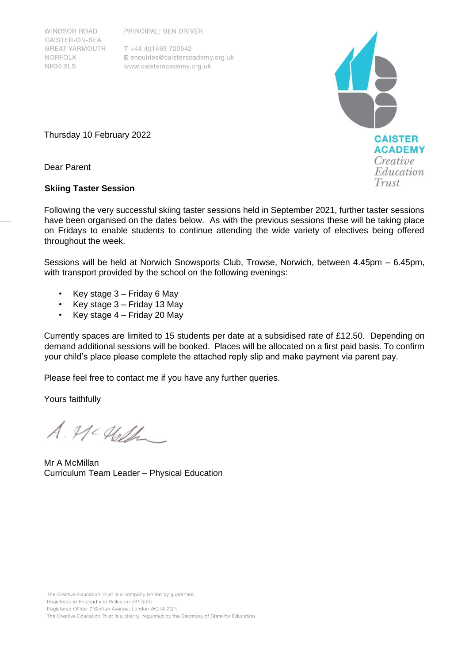PRINCIPAL: BEN DRIVER

**WINDSOR ROAD** CAISTER-ON-SEA **GREAT YARMOUTH** NORFOLK **NR30 5LS** 

 $T + 44 (0)1493 720542$ E enquiries@caisteracademy.org.uk www.caisteracademy.org.uk



Thursday 10 February 2022

Dear Parent

## **Skiing Taster Session**

Following the very successful skiing taster sessions held in September 2021, further taster sessions have been organised on the dates below. As with the previous sessions these will be taking place on Fridays to enable students to continue attending the wide variety of electives being offered throughout the week.

Sessions will be held at Norwich Snowsports Club, Trowse, Norwich, between 4.45pm – 6.45pm, with transport provided by the school on the following evenings:

- Key stage 3 Friday 6 May
- Key stage 3 Friday 13 May
- Key stage  $4$  Friday 20 May

Currently spaces are limited to 15 students per date at a subsidised rate of £12.50. Depending on demand additional sessions will be booked. Places will be allocated on a first paid basis. To confirm your child's place please complete the attached reply slip and make payment via parent pay.

Please feel free to contact me if you have any further queries.

Yours faithfully

 $A.$  Mc Heller

Mr A McMillan Curriculum Team Leader – Physical Education

The Creative Education Trust is a company limited by quarantee. Registered in England and Wales no 7617529 Registered Office: 7 Sicilian Avenue, London WC1A 2QR The Creative Education Trust is a charity, regulated by the Secretary of State for Education